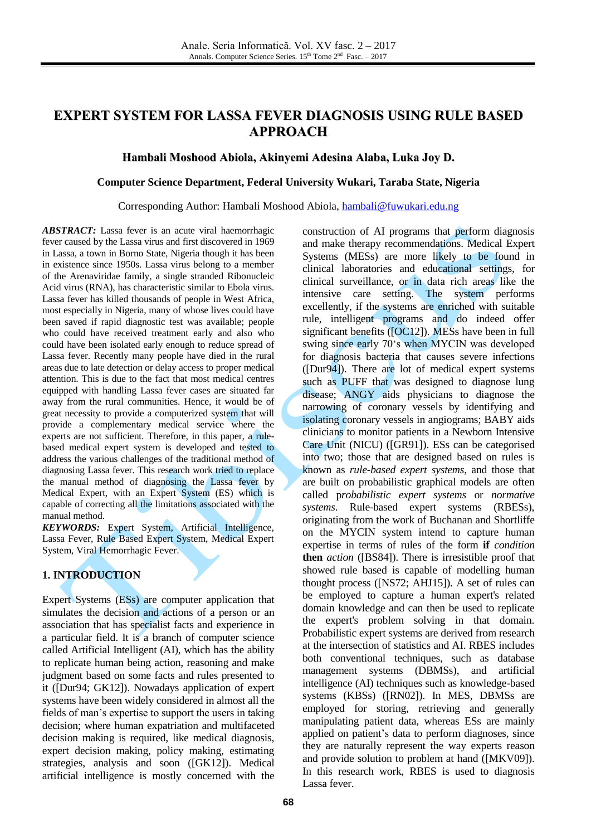# **EXPERT SYSTEM FOR LASSA FEVER DIAGNOSIS USING RULE BASED APPROACH**

### **Hambali Moshood Abiola, Akinyemi Adesina Alaba, Luka Joy D.**

### **Computer Science Department, Federal University Wukari, Taraba State, Nigeria**

#### Corresponding Author: Hambali Moshood Abiola, [hambali@fuwukari.edu.ng](mailto:hambali@fuwukari.edu.ng)

*ABSTRACT:* Lassa fever is an acute viral haemorrhagic fever caused by the Lassa virus and first discovered in 1969 in Lassa, a town in Borno State, Nigeria though it has been in existence since 1950s. Lassa virus belong to a member of the Arenaviridae family, a single stranded Ribonucleic Acid virus (RNA), has characteristic similar to Ebola virus. Lassa fever has killed thousands of people in West Africa, most especially in Nigeria, many of whose lives could have been saved if rapid diagnostic test was available; people who could have received treatment early and also who could have been isolated early enough to reduce spread of Lassa fever. Recently many people have died in the rural areas due to late detection or delay access to proper medical attention. This is due to the fact that most medical centres equipped with handling Lassa fever cases are situated far away from the rural communities. Hence, it would be of great necessity to provide a computerized system that will provide a complementary medical service where the experts are not sufficient. Therefore, in this paper, a rulebased medical expert system is developed and tested to address the various challenges of the traditional method of diagnosing Lassa fever. This research work tried to replace the manual method of diagnosing the Lassa fever by Medical Expert, with an Expert System (ES) which is capable of correcting all the limitations associated with the manual method.

*KEYWORDS:* Expert System, Artificial Intelligence, Lassa Fever, Rule Based Expert System, Medical Expert System, Viral Hemorrhagic Fever.

### **1. INTRODUCTION**

Expert Systems (ESs) are computer application that simulates the decision and actions of a person or an association that has specialist facts and experience in a particular field. It is a branch of computer science called Artificial Intelligent (AI), which has the ability to replicate human being action, reasoning and make judgment based on some facts and rules presented to it ([Dur94; GK12]). Nowadays application of expert systems have been widely considered in almost all the fields of man's expertise to support the users in taking decision; where human expatriation and multifaceted decision making is required, like medical diagnosis, expert decision making, policy making, estimating strategies, analysis and soon ([GK12]). Medical artificial intelligence is mostly concerned with the construction of AI programs that perform diagnosis and make therapy recommendations. Medical Expert Systems (MESs) are more likely to be found in clinical laboratories and educational settings, for clinical surveillance, or in data rich areas like the intensive care setting. The system performs excellently, if the systems are enriched with suitable rule, intelligent programs and do indeed offer significant benefits ([OC12]). MESs have been in full swing since early 70's when MYCIN was developed for diagnosis bacteria that causes severe infections  $([Dur94])$ . There are lot of medical expert systems such as PUFF that was designed to diagnose lung disease; ANGY aids physicians to diagnose the narrowing of coronary vessels by identifying and isolating coronary vessels in angiograms; BABY aids clinicians to monitor patients in a Newborn Intensive Care Unit (NICU) ([GR91]). ESs can be categorised into two; those that are designed based on rules is known as *rule-based expert systems*, and those that are built on probabilistic graphical models are often called p*robabilistic expert systems* or *normative systems*. Rule-based expert systems (RBESs), originating from the work of Buchanan and Shortliffe on the MYCIN system intend to capture human expertise in terms of rules of the form **if** *condition*  **then** *action* ([BS84]). There is irresistible proof that showed rule based is capable of modelling human thought process ([NS72; AHJ15]). A set of rules can be employed to capture a human expert's related domain knowledge and can then be used to replicate the expert's problem solving in that domain. Probabilistic expert systems are derived from research at the intersection of statistics and AI. RBES includes both conventional techniques, such as database management systems (DBMSs), and artificial intelligence (AI) techniques such as knowledge-based systems (KBSs) ([RN02]). In MES, DBMSs are employed for storing, retrieving and generally manipulating patient data, whereas ESs are mainly applied on patient's data to perform diagnoses, since they are naturally represent the way experts reason and provide solution to problem at hand ([MKV09]). In this research work, RBES is used to diagnosis Lassa fever.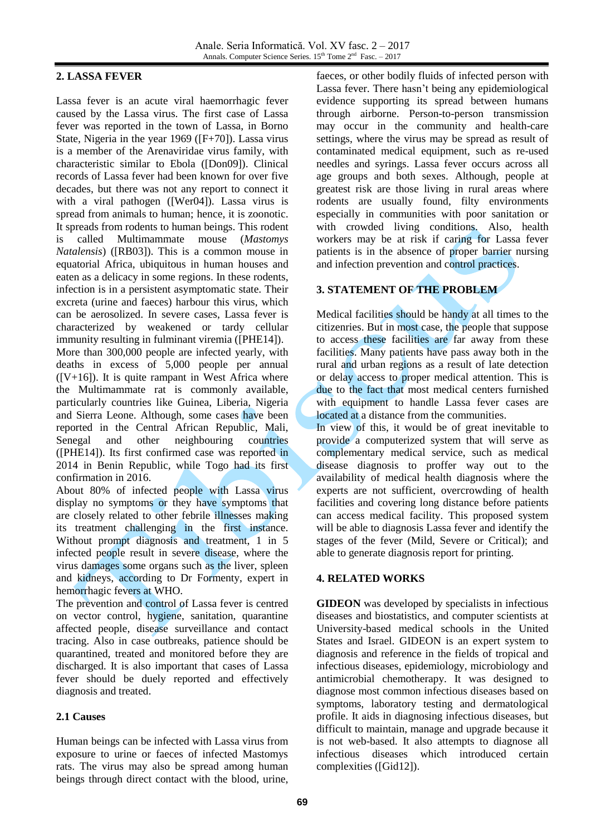### **2. LASSA FEVER**

Lassa fever is an acute viral haemorrhagic fever caused by the Lassa virus. The first case of Lassa fever was reported in the town of Lassa, in Borno State, Nigeria in the year 1969 ([F+70]). Lassa virus is a member of the Arenaviridae virus family, with characteristic similar to Ebola ([Don09]). Clinical records of Lassa fever had been known for over five decades, but there was not any report to connect it with a viral pathogen ([Wer04]). Lassa virus is spread from animals to human; hence, it is zoonotic. It spreads from rodents to human beings. This rodent is called Multimammate mouse (*Mastomys Natalensis*) ([RB03]). This is a common mouse in equatorial Africa, ubiquitous in human houses and eaten as a delicacy in some regions. In these rodents, infection is in a persistent asymptomatic state. Their excreta (urine and faeces) harbour this virus, which can be aerosolized. In severe cases, Lassa fever is characterized by weakened or tardy cellular immunity resulting in fulminant viremia ([PHE14]). More than 300,000 people are infected yearly, with deaths in excess of 5,000 people per annual  $([V+16])$ . It is quite rampant in West Africa where the Multimammate rat is commonly available, particularly countries like Guinea, Liberia, Nigeria and Sierra Leone. Although, some cases have been reported in the Central African Republic, Mali, Senegal and other neighbouring countries ([PHE14]). Its first confirmed case was reported in 2014 in Benin Republic, while Togo had its first confirmation in 2016.

About 80% of infected people with Lassa virus display no symptoms or they have symptoms that are closely related to other febrile illnesses making its treatment challenging in the first instance. Without prompt diagnosis and treatment, 1 in 5 infected people result in severe disease, where the virus damages some organs such as the liver, spleen and kidneys, according to Dr Formenty, expert in hemorrhagic fevers at WHO.

The prevention and control of Lassa fever is centred on vector control, hygiene, sanitation, quarantine affected people, disease surveillance and contact tracing. Also in case outbreaks, patience should be quarantined, treated and monitored before they are discharged. It is also important that cases of Lassa fever should be duely reported and effectively diagnosis and treated.

## **2.1 Causes**

Human beings can be infected with Lassa virus from exposure to urine or faeces of infected Mastomys rats. The virus may also be spread among human beings through direct contact with the blood, urine,

faeces, or other bodily fluids of infected person with Lassa fever. There hasn't being any epidemiological evidence supporting its spread between humans through airborne. Person-to-person transmission may occur in the community and health-care settings, where the virus may be spread as result of contaminated medical equipment, such as re-used needles and syrings. Lassa fever occurs across all age groups and both sexes. Although, people at greatest risk are those living in rural areas where rodents are usually found, filty environments especially in communities with poor sanitation or with crowded living conditions. Also, health workers may be at risk if caring for Lassa fever patients is in the absence of proper barrier nursing and infection prevention and control practices.

## **3. STATEMENT OF THE PROBLEM**

Medical facilities should be handy at all times to the citizenries. But in most case, the people that suppose to access these facilities are far away from these facilities. Many patients have pass away both in the rural and urban regions as a result of late detection or delay access to proper medical attention. This is due to the fact that most medical centers furnished with equipment to handle Lassa fever cases are located at a distance from the communities.

In view of this, it would be of great inevitable to provide a computerized system that will serve as complementary medical service, such as medical disease diagnosis to proffer way out to the availability of medical health diagnosis where the experts are not sufficient, overcrowding of health facilities and covering long distance before patients can access medical facility. This proposed system will be able to diagnosis Lassa fever and identify the stages of the fever (Mild, Severe or Critical); and able to generate diagnosis report for printing.

## **4. RELATED WORKS**

**GIDEON** was developed by specialists in infectious diseases and biostatistics, and computer scientists at University-based medical schools in the United States and Israel. GIDEON is an expert system to diagnosis and reference in the fields of tropical and infectious diseases, epidemiology, microbiology and antimicrobial chemotherapy. It was designed to diagnose most common infectious diseases based on symptoms, laboratory testing and dermatological profile. It aids in diagnosing infectious diseases, but difficult to maintain, manage and upgrade because it is not web-based. It also attempts to diagnose all infectious diseases which introduced certain complexities ([Gid12]).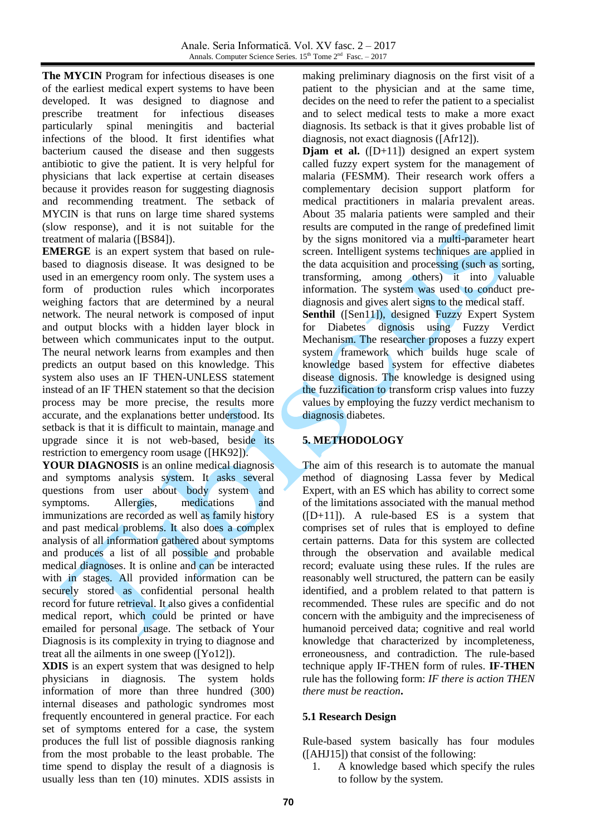**The MYCIN** Program for infectious diseases is one of the earliest medical expert systems to have been developed. It was designed to diagnose and prescribe treatment for infectious diseases prescribe treatment for infectious diseases particularly spinal meningitis and bacterial infections of the blood. It first identifies what bacterium caused the disease and then suggests antibiotic to give the patient. It is very helpful for physicians that lack expertise at certain diseases because it provides reason for suggesting diagnosis and recommending treatment. The setback of MYCIN is that runs on large time shared systems (slow response), and it is not suitable for the treatment of malaria ([BS84]).

**EMERGE** is an expert system that based on rulebased to diagnosis disease. It was designed to be used in an emergency room only. The system uses a form of production rules which incorporates weighing factors that are determined by a neural network. The neural network is composed of input and output blocks with a hidden layer block in between which communicates input to the output. The neural network learns from examples and then predicts an output based on this knowledge. This system also uses an IF THEN-UNLESS statement instead of an IF THEN statement so that the decision process may be more precise, the results more accurate, and the explanations better understood. Its setback is that it is difficult to maintain, manage and upgrade since it is not web-based, beside its restriction to emergency room usage ([HK92]).

**YOUR DIAGNOSIS** is an online medical diagnosis and symptoms analysis system. It asks several questions from user about body system and symptoms. Allergies, medications and immunizations are recorded as well as family history and past medical problems. It also does a complex analysis of all information gathered about symptoms and produces a list of all possible and probable medical diagnoses. It is online and can be interacted with in stages. All provided information can be securely stored as confidential personal health record for future retrieval. It also gives a confidential medical report, which could be printed or have emailed for personal usage. The setback of Your Diagnosis is its complexity in trying to diagnose and treat all the ailments in one sweep ([Yo12]).

**XDIS** is an expert system that was designed to help physicians in diagnosis. The system holds information of more than three hundred (300) internal diseases and pathologic syndromes most frequently encountered in general practice. For each set of symptoms entered for a case, the system produces the full list of possible diagnosis ranking from the most probable to the least probable. The time spend to display the result of a diagnosis is usually less than ten (10) minutes. XDIS assists in making preliminary diagnosis on the first visit of a patient to the physician and at the same time, decides on the need to refer the patient to a specialist and to select medical tests to make a more exact diagnosis. Its setback is that it gives probable list of diagnosis, not exact diagnosis ([Afr12]).

**Djam et al.** ([D+11]) designed an expert system called fuzzy expert system for the management of malaria (FESMM). Their research work offers a complementary decision support platform for medical practitioners in malaria prevalent areas. About 35 malaria patients were sampled and their results are computed in the range of predefined limit by the signs monitored via a multi-parameter heart screen. Intelligent systems techniques are applied in the data acquisition and processing (such as sorting, transforming, among others) it into valuable information. The system was used to conduct prediagnosis and gives alert signs to the medical staff.

**Senthil** ([Sen11]), designed Fuzzy Expert System for Diabetes dignosis using Fuzzy Verdict Mechanism. The researcher proposes a fuzzy expert system framework which builds huge scale of knowledge based system for effective diabetes disease dignosis. The knowledge is designed using the fuzzification to transform crisp values into fuzzy values by employing the fuzzy verdict mechanism to diagnosis diabetes.

## **5. METHODOLOGY**

The aim of this research is to automate the manual method of diagnosing Lassa fever by Medical Expert, with an ES which has ability to correct some of the limitations associated with the manual method  $([D+11])$ . A rule-based ES is a system that comprises set of rules that is employed to define certain patterns. Data for this system are collected through the observation and available medical record; evaluate using these rules. If the rules are reasonably well structured, the pattern can be easily identified, and a problem related to that pattern is recommended. These rules are specific and do not concern with the ambiguity and the impreciseness of humanoid perceived data; cognitive and real world knowledge that characterized by incompleteness, erroneousness, and contradiction. The rule-based technique apply IF-THEN form of rules. **IF-THEN** rule has the following form: *IF there is action THEN there must be reaction***.**

## **5.1 Research Design**

Rule-based system basically has four modules ([AHJ15]) that consist of the following:

1. A knowledge based which specify the rules to follow by the system.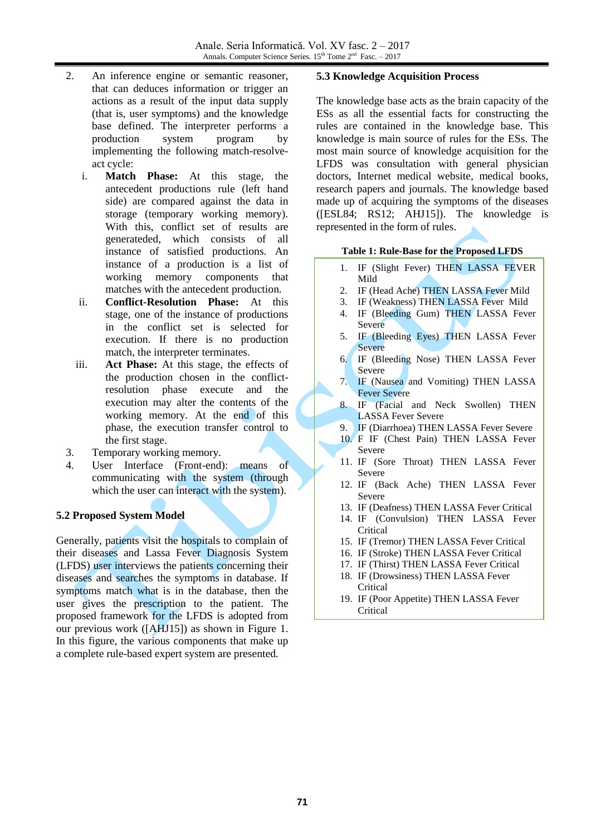- 2. An inference engine or semantic reasoner, that can deduces information or trigger an actions as a result of the input data supply (that is, user symptoms) and the knowledge base defined. The interpreter performs a production system program by implementing the following match-resolveact cycle:
	- i. **Match Phase:** At this stage, the antecedent productions rule (left hand side) are compared against the data in storage (temporary working memory). With this, conflict set of results are generateded, which consists of all instance of satisfied productions. An instance of a production is a list of working memory components that matches with the antecedent production.
	- ii. **Conflict-Resolution Phase:** At this stage, one of the instance of productions in the conflict set is selected for execution. If there is no production match, the interpreter terminates.
	- iii. **Act Phase:** At this stage, the effects of the production chosen in the conflictresolution phase execute and the execution may alter the contents of the working memory. At the end of this phase, the execution transfer control to the first stage.
- 3. Temporary working memory.
- 4. User Interface (Front-end): means of communicating with the system (through which the user can interact with the system).

## **5.2 Proposed System Model**

Generally, patients visit the hospitals to complain of their diseases and Lassa Fever Diagnosis System (LFDS) user interviews the patients concerning their diseases and searches the symptoms in database. If symptoms match what is in the database, then the user gives the prescription to the patient. The proposed framework for the LFDS is adopted from our previous work ([AHJ15]) as shown in Figure 1. In this figure, the various components that make up a complete rule-based expert system are presented.

### **5.3 Knowledge Acquisition Process**

The knowledge base acts as the brain capacity of the ESs as all the essential facts for constructing the rules are contained in the knowledge base. This knowledge is main source of rules for the ESs. The most main source of knowledge acquisition for the LFDS was consultation with general physician doctors, Internet medical website, medical books, research papers and journals. The knowledge based made up of acquiring the symptoms of the diseases ([ESL84; RS12; AHJ15]). The knowledge is represented in the form of rules.

#### **Table 1: Rule-Base for the Proposed LFDS**

- 1. IF (Slight Fever) THEN LASSA FEVER Mild
- 2. IF (Head Ache) THEN LASSA Fever Mild
- 3. IF (Weakness) THEN LASSA Fever Mild
- 4. IF (Bleeding Gum) THEN LASSA Fever Severe
- 5. IF (Bleeding Eyes) THEN LASSA Fever Severe
- 6. IF (Bleeding Nose) THEN LASSA Fever Severe
- 7. IF (Nausea and Vomiting) THEN LASSA Fever Severe
- 8. IF (Facial and Neck Swollen) THEN LASSA Fever Severe
- 9. IF (Diarrhoea) THEN LASSA Fever Severe
- 10. F IF (Chest Pain) THEN LASSA Fever Severe
- 11. IF (Sore Throat) THEN LASSA Fever Severe
- 12. IF (Back Ache) THEN LASSA Fever Severe
- 13. IF (Deafness) THEN LASSA Fever Critical
- 14. IF (Convulsion) THEN LASSA Fever **Critical**
- 15. IF (Tremor) THEN LASSA Fever Critical
- 16. IF (Stroke) THEN LASSA Fever Critical
- 17. IF (Thirst) THEN LASSA Fever Critical
- 18. IF (Drowsiness) THEN LASSA Fever **Critical**
- 19. IF (Poor Appetite) THEN LASSA Fever **Critical**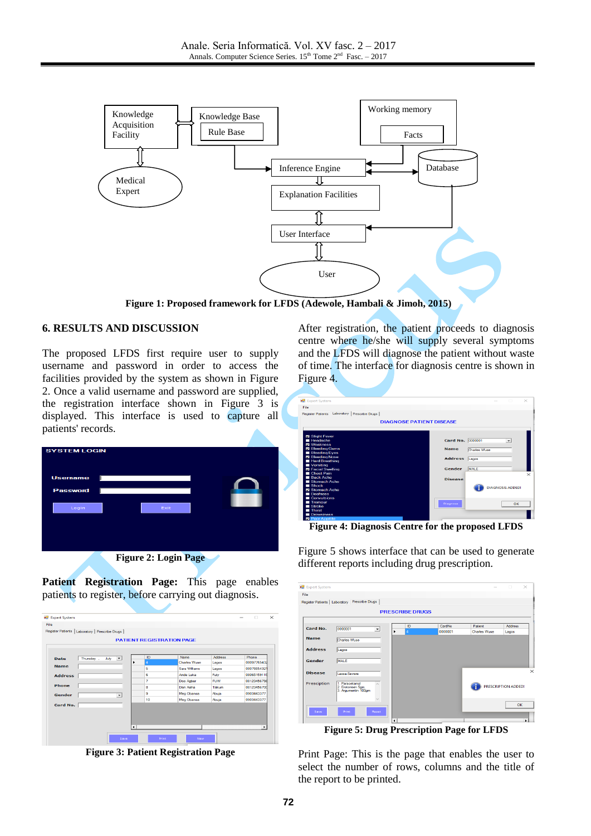

**Figure 1: Proposed framework for LFDS (Adewole, Hambali & Jimoh, 2015)**

### **6. RESULTS AND DISCUSSION**

The proposed LFDS first require user to supply username and password in order to access the facilities provided by the system as shown in Figure 2. Once a valid username and password are supplied, the registration interface shown in Figure 3 is displayed. This interface is used to capture all patients' records.



**Figure 2: Login Page**

**Patient Registration Page:** This page enables patients to register, before carrying out diagnosis.

|                |                   |                          | <b>PATIENT REGISTRATION PAGE</b> |                     |            |             |
|----------------|-------------------|--------------------------|----------------------------------|---------------------|------------|-------------|
| Date           | Thursday,<br>July | $\overline{\phantom{a}}$ | ID                               | Name                | Address    | Phone       |
| <b>Name</b>    |                   |                          | 4                                | <b>Charles Wuse</b> | Lagos      | 08097765432 |
|                |                   |                          | 5                                | Sara Williams       | Lagos      | 08076654321 |
| <b>Address</b> |                   |                          | 6                                | Ande Luka           | Futy       | 08065159115 |
|                |                   |                          | 7                                | Doo Agber           | <b>FUW</b> | 08123456798 |
| <b>Phone</b>   |                   |                          | 8                                | Dan Aisha           | Takum      | 08123456700 |
| Gender         |                   | $\overline{\phantom{a}}$ | 9                                | Meg Obansa          | Abuja      | 0903443377  |
|                |                   |                          | 10                               | Meg Obansa          | Abuja      | 0903443377  |
| Card No.       |                   |                          |                                  |                     |            |             |
|                |                   |                          |                                  |                     |            |             |

**Figure 3: Patient Registration Page**

After registration, the patient proceeds to diagnosis centre where he/she will supply several symptoms and the LFDS will diagnose the patient without waste of time. The interface for diagnosis centre is shown in Figure 4.

| Expert System                                  | $\! \times$<br>$\Box$<br>-                   |
|------------------------------------------------|----------------------------------------------|
| File                                           |                                              |
| Register Patients Laboratory Prescribe Drugs   |                                              |
|                                                |                                              |
|                                                | <b>DIAGNOSE PATIENT DISEASE</b>              |
|                                                |                                              |
| Slight Fever                                   |                                              |
| Headache                                       | Card No. 0000001<br>$\overline{\phantom{0}}$ |
| <b>Z</b> Weakness                              |                                              |
| <b>Z</b> Bleeding Gums                         | <b>Name</b><br>Charles Wuse                  |
| <b>Bleeding Eyes</b><br><b>Z</b> Bleeding Nose |                                              |
| <b>Hard Breathing</b>                          | <b>Address</b><br>Lagos                      |
| Vomiting                                       |                                              |
| <b>Z</b> Facial Swelling                       | <b>MALE</b><br>Gender                        |
| Chest Pain<br><b>Back Ache</b>                 |                                              |
| Stomach Ache                                   | <b>Disease</b>                               |
| $\blacksquare$ Shock                           | <b>DIAGNOSIS ADDED!</b>                      |
| Stomach Ache                                   |                                              |
| Deafness<br>Convulsions                        |                                              |
| $\blacksquare$ Tremour                         |                                              |
| $\blacksquare$ Stroke                          | Diagnose<br>OK                               |
| $\blacksquare$ Thirst                          |                                              |
| Drowsiness                                     |                                              |
| <b>Poor Appitite</b><br>◛                      |                                              |

**Figure 4: Diagnosis Centre for the proposed LFDS**

Figure 5 shows interface that can be used to generate different reports including drug prescription.

| Expert System          |                                                           |                 |                      |                |         |              | $\Box$              | $\times$ |  |  |  |
|------------------------|-----------------------------------------------------------|-----------------|----------------------|----------------|---------|--------------|---------------------|----------|--|--|--|
| File                   |                                                           |                 |                      |                |         |              |                     |          |  |  |  |
|                        | Register Patients   Laboratory Prescribe Drugs            |                 |                      |                |         |              |                     |          |  |  |  |
| <b>PRESCRIBE DRUGS</b> |                                                           |                 |                      |                |         |              |                     |          |  |  |  |
| Card No.               | 0000001                                                   | $\cdot$         |                      | ID             | CardNo  | Patient      | Address             |          |  |  |  |
|                        |                                                           |                 | ٠                    | $\overline{4}$ | 0000001 | Charles Wuse | Lagos               |          |  |  |  |
| <b>Name</b>            | <b>Charles Wuse</b>                                       |                 |                      |                |         |              |                     |          |  |  |  |
| <b>Address</b>         | Lagos                                                     |                 |                      |                |         |              |                     |          |  |  |  |
| Gender                 | <b>MALE</b>                                               |                 |                      |                |         |              |                     |          |  |  |  |
| <b>Disease</b>         | Lassa-Severe                                              |                 |                      |                |         |              |                     | $\times$ |  |  |  |
| Presciption            | 1. Paracetamol<br>2. Erotombon 5am<br>3. Argumentin 100gm |                 |                      |                |         |              | PRESCRIPTION ADDED! |          |  |  |  |
| Save                   | Print                                                     | $\sim$<br>Reset |                      |                |         |              |                     | OK       |  |  |  |
|                        |                                                           |                 | $\blacktriangleleft$ |                |         |              |                     |          |  |  |  |

**Figure 5: Drug Prescription Page for LFDS**

Print Page: This is the page that enables the user to select the number of rows, columns and the title of the report to be printed.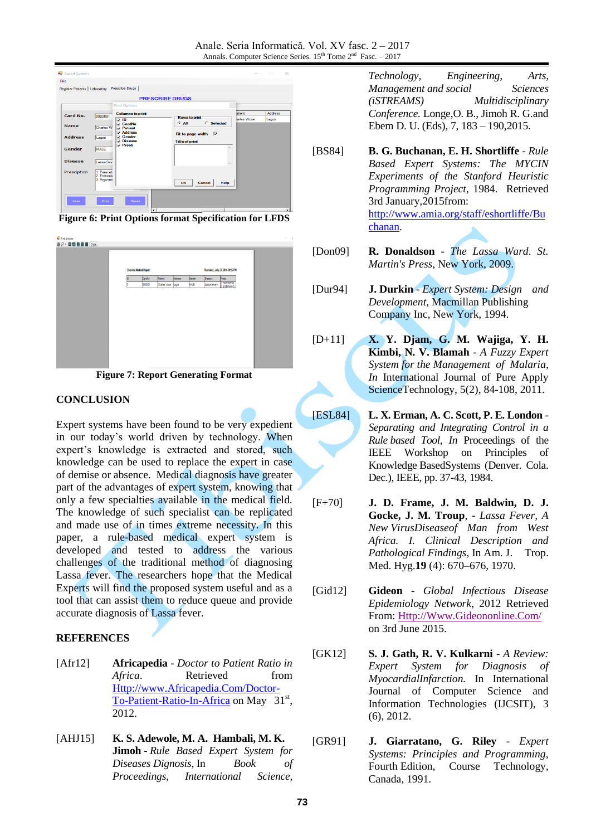

**Figure 6: Print Options format Specification for LFDS**

| Print preview                                                                                                                                                                   |                               |   |          |                     |                |        |                                  |                                    |  |  |  |
|---------------------------------------------------------------------------------------------------------------------------------------------------------------------------------|-------------------------------|---|----------|---------------------|----------------|--------|----------------------------------|------------------------------------|--|--|--|
| $\textcircled{\textsf{s}}\textcircled{\textsf{s}}\cdot\textcircled{\textsf{n}}\textcircled{\textsf{m}}\textcircled{\textsf{m}}\textcircled{\textsf{n}}\textcircled{\textsf{n}}$ |                               |   |          |                     |                |        |                                  |                                    |  |  |  |
|                                                                                                                                                                                 |                               |   |          |                     |                |        |                                  |                                    |  |  |  |
|                                                                                                                                                                                 |                               |   |          |                     |                |        |                                  |                                    |  |  |  |
|                                                                                                                                                                                 |                               |   |          |                     |                |        |                                  |                                    |  |  |  |
|                                                                                                                                                                                 | <b>Charles Medical Report</b> |   |          |                     |                |        |                                  |                                    |  |  |  |
|                                                                                                                                                                                 |                               |   |          |                     |                |        | Thursday, July 21, 2016 10:56 PM |                                    |  |  |  |
|                                                                                                                                                                                 |                               | D | Cardillo | Patent              | <b>Address</b> | Gender | Disease                          | <b>Phesto</b>                      |  |  |  |
|                                                                                                                                                                                 |                               | k | 0000001  | Charles Wase  Lagos |                | MALE   | Lassa-Severe                     | T. Paracetamol<br>2. Erotomixin 5. |  |  |  |
|                                                                                                                                                                                 |                               |   |          |                     |                |        |                                  |                                    |  |  |  |
|                                                                                                                                                                                 |                               |   |          |                     |                |        |                                  |                                    |  |  |  |
|                                                                                                                                                                                 |                               |   |          |                     |                |        |                                  |                                    |  |  |  |
|                                                                                                                                                                                 |                               |   |          |                     |                |        |                                  |                                    |  |  |  |
|                                                                                                                                                                                 |                               |   |          |                     |                |        |                                  |                                    |  |  |  |
|                                                                                                                                                                                 |                               |   |          |                     |                |        |                                  |                                    |  |  |  |
|                                                                                                                                                                                 |                               |   |          |                     |                |        |                                  |                                    |  |  |  |
|                                                                                                                                                                                 |                               |   |          |                     |                |        |                                  |                                    |  |  |  |
|                                                                                                                                                                                 |                               |   |          |                     |                |        |                                  |                                    |  |  |  |
|                                                                                                                                                                                 |                               |   |          |                     |                |        |                                  |                                    |  |  |  |
|                                                                                                                                                                                 |                               |   |          |                     |                |        |                                  |                                    |  |  |  |
|                                                                                                                                                                                 |                               |   |          |                     |                |        |                                  |                                    |  |  |  |
|                                                                                                                                                                                 |                               |   |          |                     |                |        |                                  |                                    |  |  |  |
|                                                                                                                                                                                 |                               |   |          |                     |                |        |                                  |                                    |  |  |  |
|                                                                                                                                                                                 |                               |   |          |                     |                |        |                                  |                                    |  |  |  |

**Figure 7: Report Generating Format**

### **CONCLUSION**

Expert systems have been found to be very expedient in our today's world driven by technology. When expert's knowledge is extracted and stored, such knowledge can be used to replace the expert in case of demise or absence. Medical diagnosis have greater part of the advantages of expert system, knowing that only a few specialties available in the medical field. The knowledge of such specialist can be replicated and made use of in times extreme necessity. In this paper, a rule-based medical expert system is developed and tested to address the various challenges of the traditional method of diagnosing Lassa fever. The researchers hope that the Medical Experts will find the proposed system useful and as a tool that can assist them to reduce queue and provide accurate diagnosis of Lassa fever.

### **REFERENCES**

- [Afr12] **Africapedia** *Doctor to Patient Ratio in Africa*. Retrieved from [Http://www.Africapedia.Com/Doctor-](http://www.africapedia.com/Doctor-To-Patient-Ratio-In-Africa)[To-Patient-Ratio-In-Africa](http://www.africapedia.com/Doctor-To-Patient-Ratio-In-Africa) on May 31<sup>st</sup>, 2012.
- [AHJ15] **K. S. Adewole, M. A. Hambali, M. K. Jimoh** - *Rule Based Expert System for Diseases Dignosis,* In *Book of Proceedings, International Science,*

*Technology, Engineering, Arts, Management and social Sciences (iSTREAMS) Multidisciplinary Conference.* Longe,O. B., Jimoh R. G.and Ebem D. U. (Eds), 7, 183 – 190,2015.

- [BS84] **B. G. Buchanan, E. H. Shortliffe** *Rule Based Expert Systems: The MYCIN Experiments of the Stanford Heuristic Programming Project*, 1984. Retrieved 3rd January,2015from: [http://www.amia.org/staff/eshortliffe/Bu](http://www.amia.org/staff/eshortliffe/Buchanan) [chanan.](http://www.amia.org/staff/eshortliffe/Buchanan)
- [Don09] **R. Donaldson** *The Lassa Ward*. *St. Martin's Press*, New York, 2009.
- [Dur94] **J. Durkin** *Expert System: Design and Development*, Macmillan Publishing Company Inc, New York, 1994.
- [D+11] **X. Y. Djam, G. M. Wajiga, Y. H. Kimbi, N. V. Blamah** - *A Fuzzy Expert System for the Management of Malaria, In* International Journal of Pure Apply ScienceTechnology, 5(2), 84-108, 2011.
- [ESL84] **L. X. Erman, A. C. Scott, P. E. London** *Separating and Integrating Control in a Rule based Tool*, *In* Proceedings of the IEEE Workshop on Principles of Knowledge BasedSystems (Denver. Cola. Dec.), IEEE, pp. 37-43, 1984.
- [F+70] **J. D. Frame, J. M. Baldwin, D. J. Gocke, J. M. Troup**, - *Lassa Fever, A New VirusDiseaseof Man from West Africa. I. Clinical Description and Pathological Findings*, In Am. J. Trop. Med. Hyg.**19** (4): 670–676, 1970.
- [Gid12] **Gideon** *Global Infectious Disease Epidemiology Network*, 2012 Retrieved From: [Http://Www.Gideononline.Com/](http://www.gideononline.com/) on 3rd June 2015.
- [GK12] **S. J. Gath, R. V. Kulkarni** *A Review: Expert System for Diagnosis of MyocardialInfarction.* In International Journal of Computer Science and Information Technologies (IJCSIT), 3 (6), 2012.
- [GR91] **J. Giarratano, G. Riley** *Expert Systems: Principles and Programming*, Fourth Edition, Course Technology*,* Canada, 1991.